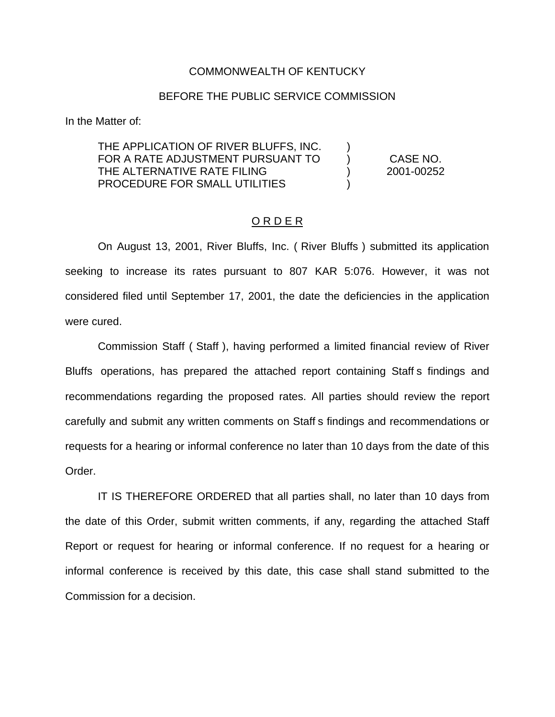#### COMMONWEALTH OF KENTUCKY

#### BEFORE THE PUBLIC SERVICE COMMISSION

In the Matter of:

#### THE APPLICATION OF RIVER BLUFFS, INC. FOR A RATE ADJUSTMENT PURSUANT TO THE ALTERNATIVE RATE FILING PROCEDURE FOR SMALL UTILITIES

) CASE NO. ) 2001-00252

)

)

#### O R D E R

On August 13, 2001, River Bluffs, Inc. ( River Bluffs ) submitted its application seeking to increase its rates pursuant to 807 KAR 5:076. However, it was not considered filed until September 17, 2001, the date the deficiencies in the application were cured.

Commission Staff ( Staff ), having performed a limited financial review of River Bluffs operations, has prepared the attached report containing Staff s findings and recommendations regarding the proposed rates. All parties should review the report carefully and submit any written comments on Staff s findings and recommendations or requests for a hearing or informal conference no later than 10 days from the date of this Order.

IT IS THEREFORE ORDERED that all parties shall, no later than 10 days from the date of this Order, submit written comments, if any, regarding the attached Staff Report or request for hearing or informal conference. If no request for a hearing or informal conference is received by this date, this case shall stand submitted to the Commission for a decision.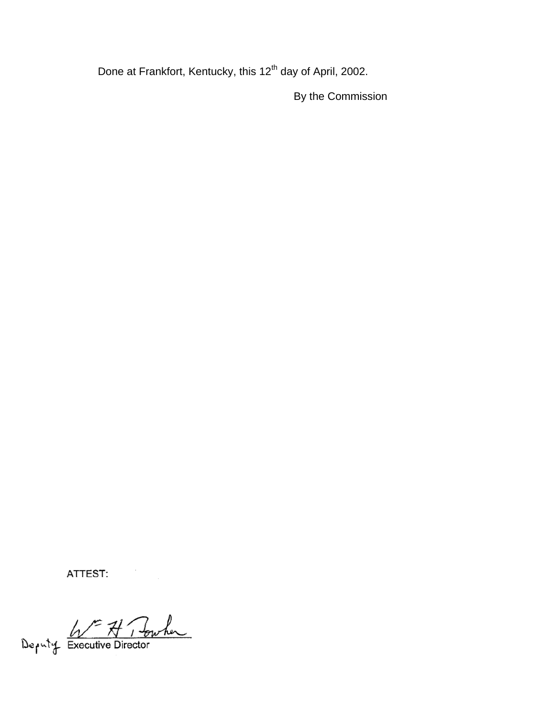Done at Frankfort, Kentucky, this 12<sup>th</sup> day of April, 2002.

By the Commission

ATTEST:

Deputy Executive Director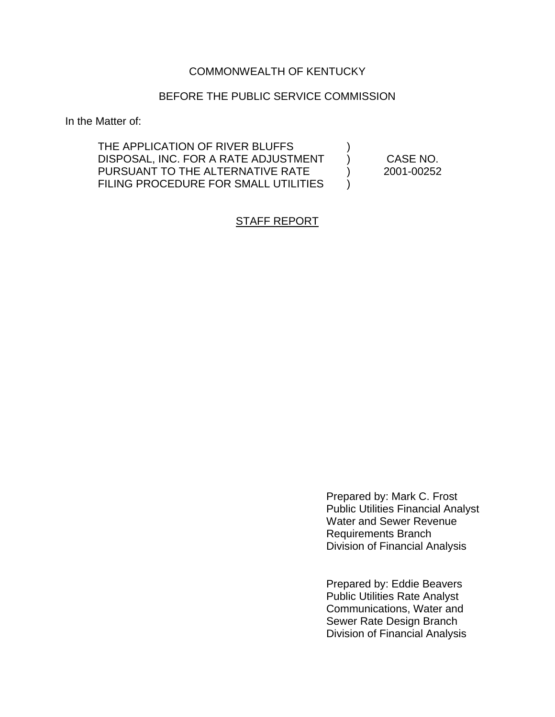## COMMONWEALTH OF KENTUCKY

#### BEFORE THE PUBLIC SERVICE COMMISSION

In the Matter of:

THE APPLICATION OF RIVER BLUFFS DISPOSAL, INC. FOR A RATE ADJUSTMENT PURSUANT TO THE ALTERNATIVE RATE FILING PROCEDURE FOR SMALL UTILITIES

) CASE NO. ) 2001-00252

)

)

## STAFF REPORT

Prepared by: Mark C. Frost Public Utilities Financial Analyst Water and Sewer Revenue Requirements Branch Division of Financial Analysis

Prepared by: Eddie Beavers Public Utilities Rate Analyst Communications, Water and Sewer Rate Design Branch Division of Financial Analysis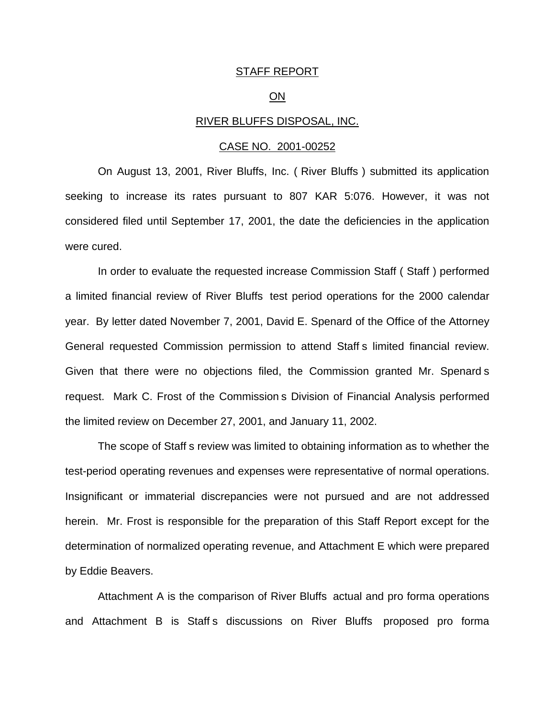#### STAFF REPORT

#### ON

#### RIVER BLUFFS DISPOSAL, INC.

#### CASE NO. 2001-00252

On August 13, 2001, River Bluffs, Inc. ( River Bluffs ) submitted its application seeking to increase its rates pursuant to 807 KAR 5:076. However, it was not considered filed until September 17, 2001, the date the deficiencies in the application were cured.

In order to evaluate the requested increase Commission Staff ( Staff ) performed a limited financial review of River Bluffs test period operations for the 2000 calendar year. By letter dated November 7, 2001, David E. Spenard of the Office of the Attorney General requested Commission permission to attend Staff s limited financial review. Given that there were no objections filed, the Commission granted Mr. Spenard s request. Mark C. Frost of the Commission s Division of Financial Analysis performed the limited review on December 27, 2001, and January 11, 2002.

The scope of Staff s review was limited to obtaining information as to whether the test-period operating revenues and expenses were representative of normal operations. Insignificant or immaterial discrepancies were not pursued and are not addressed herein. Mr. Frost is responsible for the preparation of this Staff Report except for the determination of normalized operating revenue, and Attachment E which were prepared by Eddie Beavers.

Attachment A is the comparison of River Bluffs actual and pro forma operations and Attachment B is Staff s discussions on River Bluffs proposed pro forma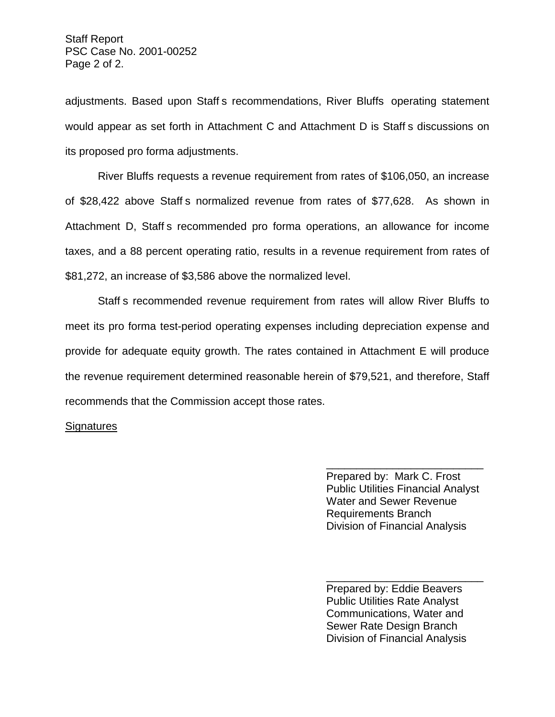adjustments. Based upon Staff s recommendations, River Bluffs operating statement would appear as set forth in Attachment C and Attachment D is Staff s discussions on its proposed pro forma adjustments.

River Bluffs requests a revenue requirement from rates of \$106,050, an increase of \$28,422 above Staff s normalized revenue from rates of \$77,628. As shown in Attachment D, Staff s recommended pro forma operations, an allowance for income taxes, and a 88 percent operating ratio, results in a revenue requirement from rates of \$81,272, an increase of \$3,586 above the normalized level.

Staff s recommended revenue requirement from rates will allow River Bluffs to meet its pro forma test-period operating expenses including depreciation expense and provide for adequate equity growth. The rates contained in Attachment E will produce the revenue requirement determined reasonable herein of \$79,521, and therefore, Staff recommends that the Commission accept those rates.

#### **Signatures**

\_\_\_\_\_\_\_\_\_\_\_\_\_\_\_\_\_\_\_\_\_\_\_\_\_\_ Prepared by: Mark C. Frost Public Utilities Financial Analyst Water and Sewer Revenue Requirements Branch Division of Financial Analysis

Prepared by: Eddie Beavers Public Utilities Rate Analyst Communications, Water and Sewer Rate Design Branch Division of Financial Analysis

\_\_\_\_\_\_\_\_\_\_\_\_\_\_\_\_\_\_\_\_\_\_\_\_\_\_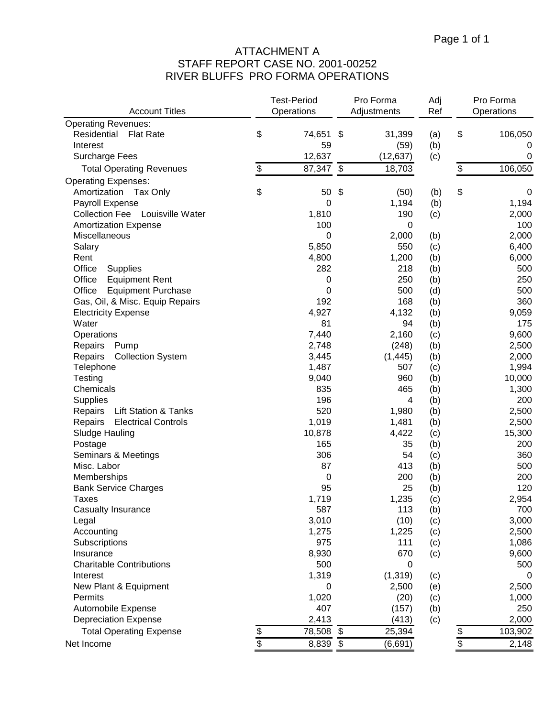# ATTACHMENT A STAFF REPORT CASE NO. 2001-00252 RIVER BLUFFS PRO FORMA OPERATIONS

|                                            |               | <b>Test-Period</b><br>Pro Forma |    | Adj         | Pro Forma |    |             |
|--------------------------------------------|---------------|---------------------------------|----|-------------|-----------|----|-------------|
| <b>Account Titles</b>                      |               | Operations                      |    | Adjustments | Ref       |    | Operations  |
| <b>Operating Revenues:</b>                 |               |                                 |    |             |           |    |             |
| Residential<br><b>Flat Rate</b>            | \$            | 74,651 \$                       |    | 31,399      | (a)       | \$ | 106,050     |
| Interest                                   |               | 59                              |    | (59)        | (b)       |    | 0           |
| <b>Surcharge Fees</b>                      |               | 12,637                          |    | (12, 637)   | (c)       |    | $\mathbf 0$ |
| <b>Total Operating Revenues</b>            | \$            | 87,347                          | \$ | 18,703      |           | \$ | 106,050     |
| <b>Operating Expenses:</b>                 |               |                                 |    |             |           |    |             |
| Amortization<br>Tax Only                   | \$            | 50                              | \$ | (50)        | (b)       | \$ | 0           |
| Payroll Expense                            |               | 0                               |    | 1,194       | (b)       |    | 1,194       |
| Collection Fee Louisville Water            |               | 1,810                           |    | 190         | (c)       |    | 2,000       |
| <b>Amortization Expense</b>                |               | 100                             |    | $\pmb{0}$   |           |    | 100         |
| Miscellaneous                              |               | 0                               |    | 2,000       | (b)       |    | 2,000       |
| Salary                                     |               | 5,850                           |    | 550         | (c)       |    | 6,400       |
| Rent                                       |               | 4,800                           |    | 1,200       | (b)       |    | 6,000       |
| Office<br>Supplies                         |               | 282                             |    | 218         | (b)       |    | 500         |
| Office<br><b>Equipment Rent</b>            |               | 0                               |    | 250         | (b)       |    | 250         |
| Office<br><b>Equipment Purchase</b>        |               | 0                               |    | 500         | (d)       |    | 500         |
| Gas, Oil, & Misc. Equip Repairs            |               | 192                             |    | 168         | (b)       |    | 360         |
| <b>Electricity Expense</b>                 |               | 4,927                           |    | 4,132       | (b)       |    | 9,059       |
| Water                                      |               | 81                              |    | 94          | (b)       |    | 175         |
| Operations                                 |               | 7,440                           |    | 2,160       | (c)       |    | 9,600       |
| Repairs<br>Pump                            |               | 2,748                           |    | (248)       | (b)       |    | 2,500       |
| Repairs<br><b>Collection System</b>        |               | 3,445                           |    | (1, 445)    | (b)       |    | 2,000       |
| Telephone                                  |               | 1,487                           |    | 507         | (c)       |    | 1,994       |
| Testing                                    |               | 9,040                           |    | 960         | (b)       |    | 10,000      |
| Chemicals                                  |               | 835                             |    | 465         | (b)       |    | 1,300       |
| Supplies                                   |               | 196                             |    | 4           | (b)       |    | 200         |
| <b>Lift Station &amp; Tanks</b><br>Repairs |               | 520                             |    | 1,980       | (b)       |    | 2,500       |
| Repairs<br><b>Electrical Controls</b>      |               | 1,019                           |    | 1,481       | (b)       |    | 2,500       |
| Sludge Hauling                             |               | 10,878                          |    | 4,422       | (c)       |    | 15,300      |
| Postage                                    |               | 165                             |    | 35          | (b)       |    | 200         |
| Seminars & Meetings                        |               | 306                             |    | 54          | (c)       |    | 360         |
| Misc. Labor                                |               | 87                              |    | 413         | (b)       |    | 500         |
| Memberships                                |               | 0                               |    | 200         | (b)       |    | 200         |
| <b>Bank Service Charges</b>                |               | 95                              |    | 25          | (b)       |    | 120         |
| Taxes                                      |               | 1,719                           |    | 1,235       | (c)       |    | 2,954       |
| Casualty Insurance                         |               | 587                             |    | 113         | (b)       |    | 700         |
| Legal                                      |               | 3,010                           |    | (10)        | (c)       |    | 3,000       |
| Accounting                                 |               | 1,275                           |    | 1,225       | (c)       |    | 2,500       |
| Subscriptions                              |               | 975                             |    | 111         | (c)       |    | 1,086       |
| Insurance                                  |               | 8,930                           |    | 670         | (c)       |    | 9,600       |
| <b>Charitable Contributions</b>            |               | 500                             |    | 0           |           |    | 500         |
| Interest                                   |               | 1,319                           |    | (1, 319)    | (c)       |    | 0           |
| New Plant & Equipment                      |               | 0                               |    | 2,500       | (e)       |    | 2,500       |
| Permits                                    |               | 1,020                           |    | (20)        | (c)       |    | 1,000       |
| Automobile Expense                         |               | 407                             |    | (157)       | (b)       |    | 250         |
| <b>Depreciation Expense</b>                |               | 2,413                           |    | (413)       | (c)       |    | 2,000       |
| <b>Total Operating Expense</b>             |               | 78,508                          | \$ | 25,394      |           | \$ | 103,902     |
| Net Income                                 | $\frac{6}{3}$ | 8,839 \$                        |    | (6,691)     |           | \$ | 2,148       |
|                                            |               |                                 |    |             |           |    |             |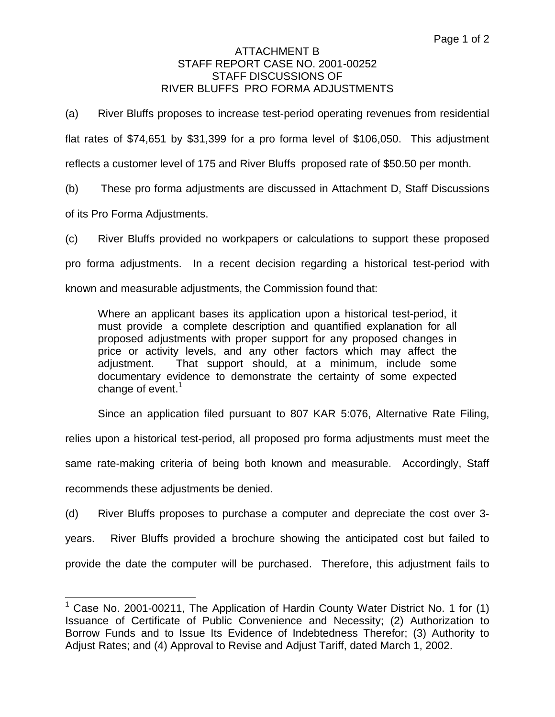(a) River Bluffs proposes to increase test-period operating revenues from residential flat rates of \$74,651 by \$31,399 for a pro forma level of \$106,050. This adjustment reflects a customer level of 175 and River Bluffs proposed rate of \$50.50 per month.

(b) These pro forma adjustments are discussed in Attachment D, Staff Discussions

of its Pro Forma Adjustments.

(c) River Bluffs provided no workpapers or calculations to support these proposed pro forma adjustments. In a recent decision regarding a historical test-period with known and measurable adjustments, the Commission found that:

Where an applicant bases its application upon a historical test-period, it must provide a complete description and quantified explanation for all proposed adjustments with proper support for any proposed changes in price or activity levels, and any other factors which may affect the adjustment. That support should, at a minimum, include some documentary evidence to demonstrate the certainty of some expected change of event.<sup>1</sup>

Since an application filed pursuant to 807 KAR 5:076, Alternative Rate Filing,

relies upon a historical test-period, all proposed pro forma adjustments must meet the

same rate-making criteria of being both known and measurable. Accordingly, Staff

recommends these adjustments be denied.

(d) River Bluffs proposes to purchase a computer and depreciate the cost over 3 years. River Bluffs provided a brochure showing the anticipated cost but failed to provide the date the computer will be purchased. Therefore, this adjustment fails to

<sup>&</sup>lt;sup>1</sup> Case No. 2001-00211, The Application of Hardin County Water District No. 1 for (1) Issuance of Certificate of Public Convenience and Necessity; (2) Authorization to Borrow Funds and to Issue Its Evidence of Indebtedness Therefor; (3) Authority to Adjust Rates; and (4) Approval to Revise and Adjust Tariff, dated March 1, 2002.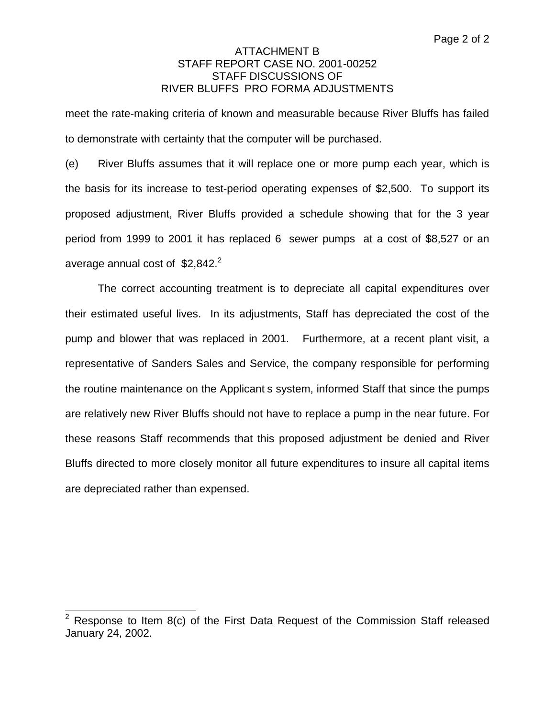meet the rate-making criteria of known and measurable because River Bluffs has failed to demonstrate with certainty that the computer will be purchased.

(e) River Bluffs assumes that it will replace one or more pump each year, which is the basis for its increase to test-period operating expenses of \$2,500. To support its proposed adjustment, River Bluffs provided a schedule showing that for the 3 year period from 1999 to 2001 it has replaced 6 sewer pumps at a cost of \$8,527 or an average annual cost of  $$2,842.<sup>2</sup>$ 

The correct accounting treatment is to depreciate all capital expenditures over their estimated useful lives. In its adjustments, Staff has depreciated the cost of the pump and blower that was replaced in 2001. Furthermore, at a recent plant visit, a representative of Sanders Sales and Service, the company responsible for performing the routine maintenance on the Applicant s system, informed Staff that since the pumps are relatively new River Bluffs should not have to replace a pump in the near future. For these reasons Staff recommends that this proposed adjustment be denied and River Bluffs directed to more closely monitor all future expenditures to insure all capital items are depreciated rather than expensed.

<sup>2</sup> Response to Item 8(c) of the First Data Request of the Commission Staff released January 24, 2002.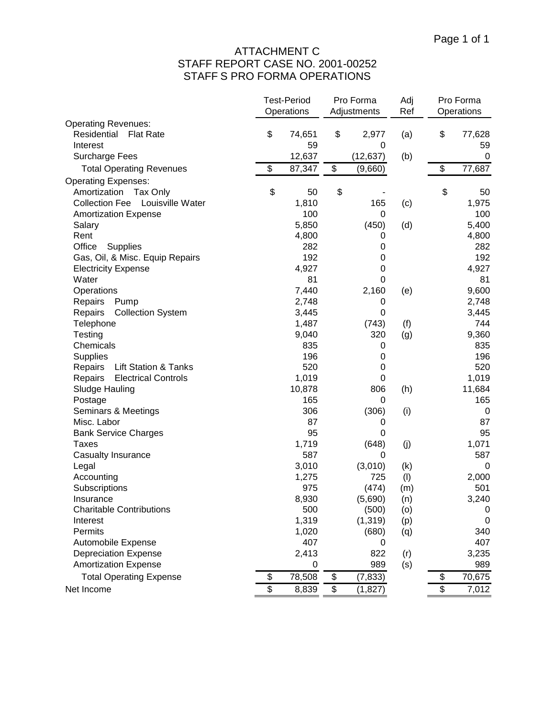# ATTACHMENT C STAFF REPORT CASE NO. 2001-00252 STAFF S PRO FORMA OPERATIONS

|                                            | <b>Test-Period</b><br>Operations | Pro Forma<br>Adjustments | Adj<br>Ref | Pro Forma<br>Operations |
|--------------------------------------------|----------------------------------|--------------------------|------------|-------------------------|
| <b>Operating Revenues:</b>                 |                                  |                          |            |                         |
| Residential<br><b>Flat Rate</b>            | \$<br>74,651                     | \$<br>2,977              | (a)        | \$<br>77,628            |
| Interest                                   | 59                               | 0                        |            | 59                      |
| <b>Surcharge Fees</b>                      | 12,637                           | (12, 637)                | (b)        | $\mathbf 0$             |
| <b>Total Operating Revenues</b>            | \$<br>87,347                     | \$<br>(9,660)            |            | \$<br>77,687            |
| <b>Operating Expenses:</b>                 |                                  |                          |            |                         |
| Amortization<br>Tax Only                   | \$<br>50                         | \$                       |            | \$<br>50                |
| <b>Collection Fee</b><br>Louisville Water  | 1,810                            | 165                      | (c)        | 1,975                   |
| <b>Amortization Expense</b>                | 100                              | 0                        |            | 100                     |
| Salary                                     | 5,850                            | (450)                    | (d)        | 5,400                   |
| Rent                                       | 4,800                            | 0                        |            | 4,800                   |
| Office<br>Supplies                         | 282                              | 0                        |            | 282                     |
| Gas, Oil, & Misc. Equip Repairs            | 192                              | 0                        |            | 192                     |
| <b>Electricity Expense</b>                 | 4,927                            | 0                        |            | 4,927                   |
| Water                                      | 81                               | 0                        |            | 81                      |
| Operations                                 | 7,440                            | 2,160                    | (e)        | 9,600                   |
| Repairs<br>Pump                            | 2,748                            | 0                        |            | 2,748                   |
| Repairs<br><b>Collection System</b>        | 3,445                            | 0                        |            | 3,445                   |
| Telephone                                  | 1,487                            | (743)                    | (f)        | 744                     |
| Testing                                    | 9,040                            | 320                      | (g)        | 9,360                   |
| Chemicals                                  | 835                              | 0                        |            | 835                     |
| <b>Supplies</b>                            | 196                              | 0                        |            | 196                     |
| Repairs<br><b>Lift Station &amp; Tanks</b> | 520                              | 0                        |            | 520                     |
| Repairs<br><b>Electrical Controls</b>      | 1,019                            | $\mathbf 0$              |            | 1,019                   |
| Sludge Hauling                             | 10,878                           | 806                      | (h)        | 11,684                  |
| Postage                                    | 165                              | 0                        |            | 165                     |
| Seminars & Meetings                        | 306                              | (306)                    | (i)        | 0                       |
| Misc. Labor                                | 87                               | 0                        |            | 87                      |
| <b>Bank Service Charges</b>                | 95                               | $\mathbf 0$              |            | 95                      |
| <b>Taxes</b>                               | 1,719                            | (648)                    | (j)        | 1,071                   |
| <b>Casualty Insurance</b>                  | 587                              | 0                        |            | 587                     |
| Legal                                      | 3,010                            | (3,010)                  | (k)        | $\mathbf 0$             |
| Accounting                                 | 1,275                            | 725                      | (1)        | 2,000                   |
| Subscriptions                              | 975                              | (474)                    | (m)        | 501                     |
| Insurance                                  | 8,930                            | (5,690)                  | (n)        | 3,240                   |
| <b>Charitable Contributions</b>            | 500                              | (500)                    | (0)        | 0                       |
| Interest                                   | 1,319                            | (1, 319)                 | (p)        | 0                       |
| Permits                                    | 1,020                            | (680)                    | (q)        | 340                     |
| Automobile Expense                         | 407                              | 0                        |            | 407                     |
| <b>Depreciation Expense</b>                | 2,413                            | 822                      | (r)        | 3,235                   |
| <b>Amortization Expense</b>                | 0                                | 989                      | (s)        | 989                     |
| <b>Total Operating Expense</b>             | \$<br>78,508                     | \$<br>(7, 833)           |            | \$<br>70,675            |
| Net Income                                 | \$<br>8,839                      | \$<br>(1,827)            |            | \$<br>7,012             |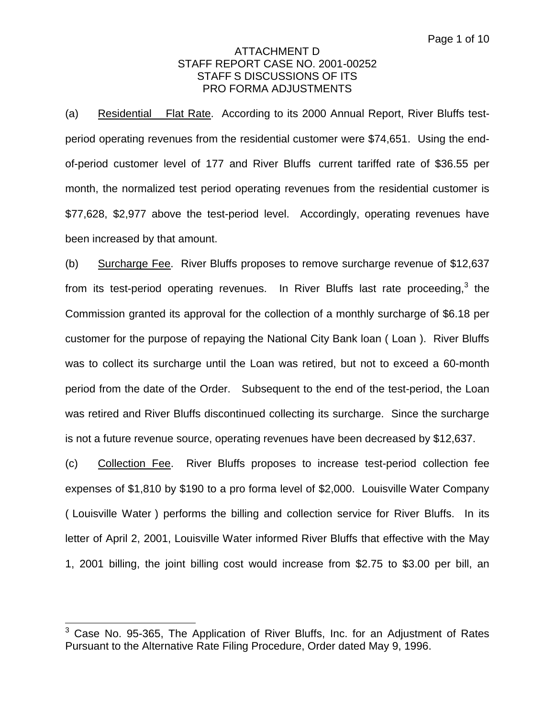(a) Residential Flat Rate. According to its 2000 Annual Report, River Bluffs testperiod operating revenues from the residential customer were \$74,651. Using the endof-period customer level of 177 and River Bluffs current tariffed rate of \$36.55 per month, the normalized test period operating revenues from the residential customer is \$77,628, \$2,977 above the test-period level. Accordingly, operating revenues have been increased by that amount.

(b) Surcharge Fee. River Bluffs proposes to remove surcharge revenue of \$12,637 from its test-period operating revenues. In River Bluffs last rate proceeding,  $3$  the Commission granted its approval for the collection of a monthly surcharge of \$6.18 per customer for the purpose of repaying the National City Bank loan ( Loan ). River Bluffs was to collect its surcharge until the Loan was retired, but not to exceed a 60-month period from the date of the Order. Subsequent to the end of the test-period, the Loan was retired and River Bluffs discontinued collecting its surcharge. Since the surcharge is not a future revenue source, operating revenues have been decreased by \$12,637.

(c) Collection Fee. River Bluffs proposes to increase test-period collection fee expenses of \$1,810 by \$190 to a pro forma level of \$2,000. Louisville Water Company ( Louisville Water ) performs the billing and collection service for River Bluffs. In its letter of April 2, 2001, Louisville Water informed River Bluffs that effective with the May 1, 2001 billing, the joint billing cost would increase from \$2.75 to \$3.00 per bill, an

 $3$  Case No. 95-365, The Application of River Bluffs, Inc. for an Adjustment of Rates Pursuant to the Alternative Rate Filing Procedure, Order dated May 9, 1996.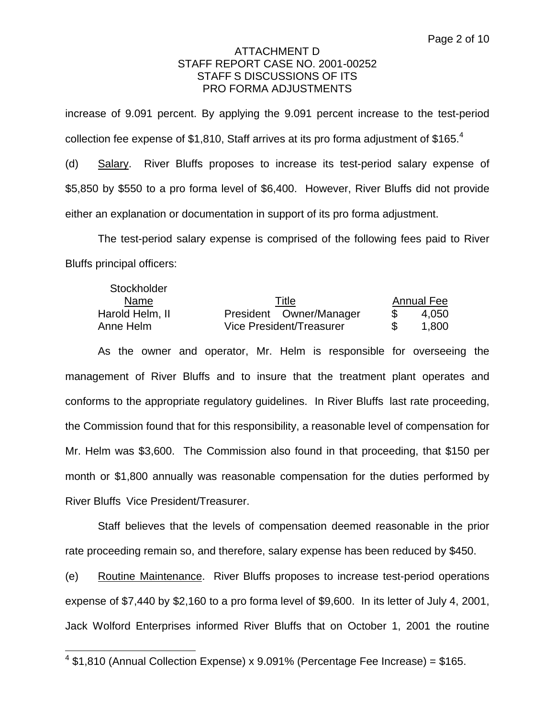increase of 9.091 percent. By applying the 9.091 percent increase to the test-period collection fee expense of \$1,810, Staff arrives at its pro forma adjustment of \$165.<sup>4</sup>

(d) Salary. River Bluffs proposes to increase its test-period salary expense of \$5,850 by \$550 to a pro forma level of \$6,400. However, River Bluffs did not provide either an explanation or documentation in support of its pro forma adjustment.

The test-period salary expense is comprised of the following fees paid to River Bluffs principal officers:

| Stockholder     |                          |                   |
|-----------------|--------------------------|-------------------|
| <b>Name</b>     | Title                    | <b>Annual Fee</b> |
| Harold Helm, II | President Owner/Manager  | 4.050             |
| Anne Helm       | Vice President/Treasurer | 1,800             |

As the owner and operator, Mr. Helm is responsible for overseeing the management of River Bluffs and to insure that the treatment plant operates and conforms to the appropriate regulatory guidelines. In River Bluffs last rate proceeding, the Commission found that for this responsibility, a reasonable level of compensation for Mr. Helm was \$3,600. The Commission also found in that proceeding, that \$150 per month or \$1,800 annually was reasonable compensation for the duties performed by River Bluffs Vice President/Treasurer.

Staff believes that the levels of compensation deemed reasonable in the prior rate proceeding remain so, and therefore, salary expense has been reduced by \$450.

(e) Routine Maintenance. River Bluffs proposes to increase test-period operations expense of \$7,440 by \$2,160 to a pro forma level of \$9,600. In its letter of July 4, 2001, Jack Wolford Enterprises informed River Bluffs that on October 1, 2001 the routine

 $4$  \$1,810 (Annual Collection Expense) x 9.091% (Percentage Fee Increase) = \$165.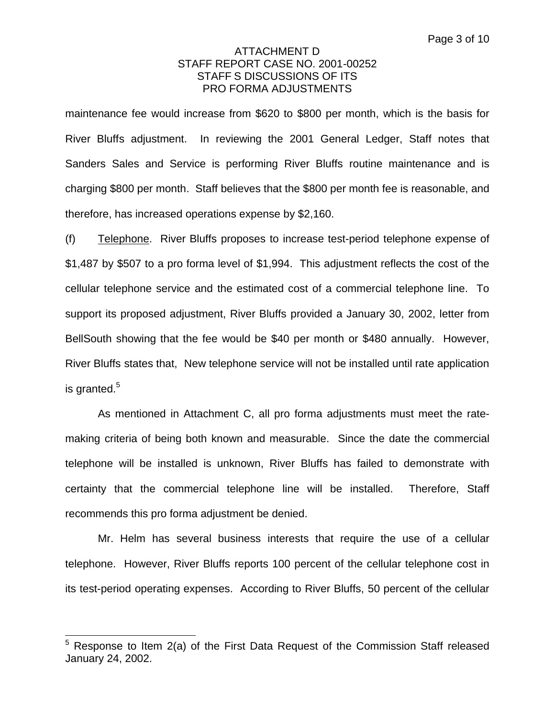maintenance fee would increase from \$620 to \$800 per month, which is the basis for River Bluffs adjustment. In reviewing the 2001 General Ledger, Staff notes that Sanders Sales and Service is performing River Bluffs routine maintenance and is charging \$800 per month. Staff believes that the \$800 per month fee is reasonable, and therefore, has increased operations expense by \$2,160.

(f) Telephone. River Bluffs proposes to increase test-period telephone expense of \$1,487 by \$507 to a pro forma level of \$1,994. This adjustment reflects the cost of the cellular telephone service and the estimated cost of a commercial telephone line. To support its proposed adjustment, River Bluffs provided a January 30, 2002, letter from BellSouth showing that the fee would be \$40 per month or \$480 annually. However, River Bluffs states that, New telephone service will not be installed until rate application is granted. $5$ 

As mentioned in Attachment C, all pro forma adjustments must meet the ratemaking criteria of being both known and measurable. Since the date the commercial telephone will be installed is unknown, River Bluffs has failed to demonstrate with certainty that the commercial telephone line will be installed. Therefore, Staff recommends this pro forma adjustment be denied.

Mr. Helm has several business interests that require the use of a cellular telephone. However, River Bluffs reports 100 percent of the cellular telephone cost in its test-period operating expenses. According to River Bluffs, 50 percent of the cellular

 $5$  Response to Item 2(a) of the First Data Request of the Commission Staff released January 24, 2002.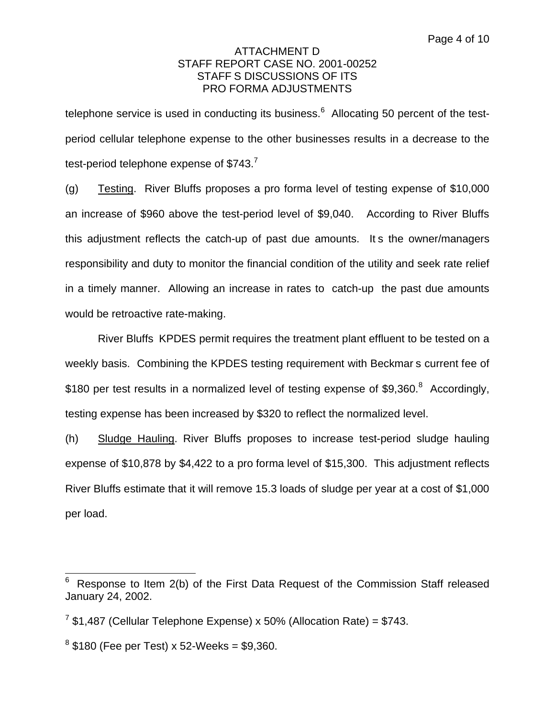telephone service is used in conducting its business. $6$  Allocating 50 percent of the testperiod cellular telephone expense to the other businesses results in a decrease to the test-period telephone expense of \$743.<sup>7</sup>

(g) Testing. River Bluffs proposes a pro forma level of testing expense of \$10,000 an increase of \$960 above the test-period level of \$9,040. According to River Bluffs this adjustment reflects the catch-up of past due amounts. It s the owner/managers responsibility and duty to monitor the financial condition of the utility and seek rate relief in a timely manner. Allowing an increase in rates to catch-up the past due amounts would be retroactive rate-making.

River Bluffs KPDES permit requires the treatment plant effluent to be tested on a weekly basis. Combining the KPDES testing requirement with Beckmar s current fee of \$180 per test results in a normalized level of testing expense of \$9,360. $8$  Accordingly, testing expense has been increased by \$320 to reflect the normalized level.

(h) Sludge Hauling. River Bluffs proposes to increase test-period sludge hauling expense of \$10,878 by \$4,422 to a pro forma level of \$15,300. This adjustment reflects River Bluffs estimate that it will remove 15.3 loads of sludge per year at a cost of \$1,000 per load.

Response to Item 2(b) of the First Data Request of the Commission Staff released January 24, 2002.

 $7$  \$1,487 (Cellular Telephone Expense) x 50% (Allocation Rate) = \$743.

 $8$  \$180 (Fee per Test) x 52-Weeks = \$9,360.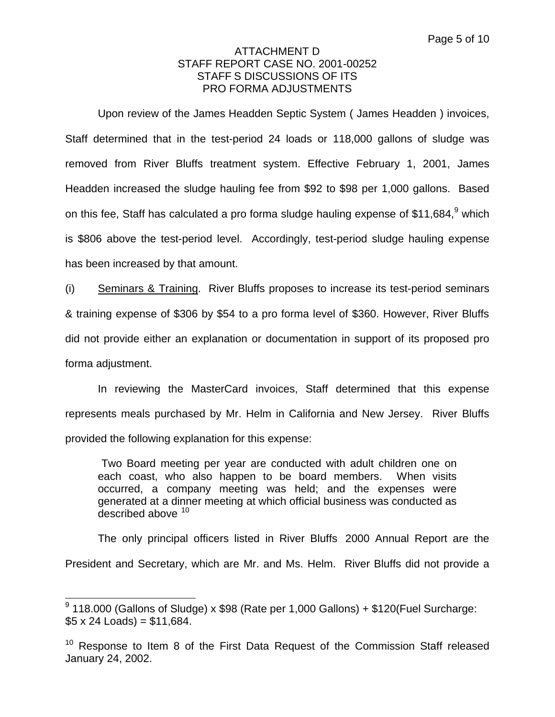Upon review of the James Headden Septic System ( James Headden ) invoices, Staff determined that in the test-period 24 loads or 118,000 gallons of sludge was removed from River Bluffs treatment system. Effective February 1, 2001, James Headden increased the sludge hauling fee from \$92 to \$98 per 1,000 gallons. Based on this fee, Staff has calculated a pro forma sludge hauling expense of \$11,684, $9$  which is \$806 above the test-period level. Accordingly, test-period sludge hauling expense has been increased by that amount.

(i) Seminars & Training. River Bluffs proposes to increase its test-period seminars & training expense of \$306 by \$54 to a pro forma level of \$360. However, River Bluffs did not provide either an explanation or documentation in support of its proposed pro forma adjustment.

In reviewing the MasterCard invoices, Staff determined that this expense represents meals purchased by Mr. Helm in California and New Jersey. River Bluffs provided the following explanation for this expense:

 Two Board meeting per year are conducted with adult children one on each coast, who also happen to be board members. When visits occurred, a company meeting was held; and the expenses were generated at a dinner meeting at which official business was conducted as described above <sup>10</sup>

The only principal officers listed in River Bluffs 2000 Annual Report are the President and Secretary, which are Mr. and Ms. Helm. River Bluffs did not provide a

 $9$  118.000 (Gallons of Sludge) x \$98 (Rate per 1,000 Gallons) + \$120 (Fuel Surcharge:  $$5 \times 24$  Loads) = \$11.684.

 $10$  Response to Item 8 of the First Data Request of the Commission Staff released January 24, 2002.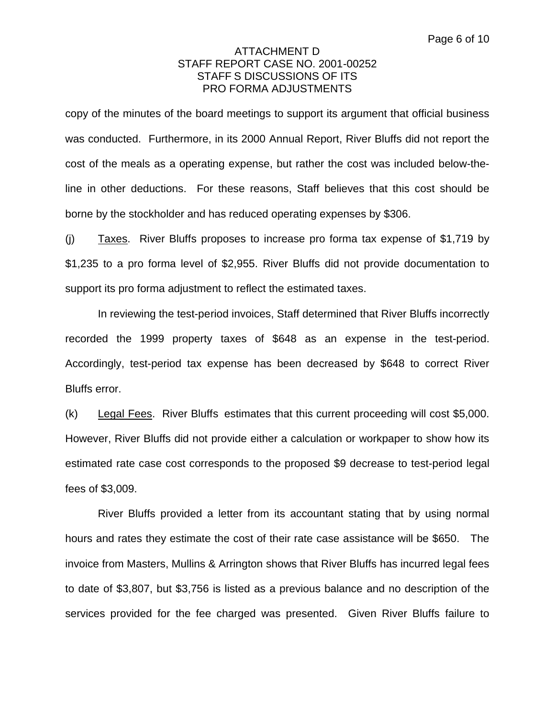copy of the minutes of the board meetings to support its argument that official business was conducted. Furthermore, in its 2000 Annual Report, River Bluffs did not report the cost of the meals as a operating expense, but rather the cost was included below-theline in other deductions. For these reasons, Staff believes that this cost should be borne by the stockholder and has reduced operating expenses by \$306.

(j)  $Taxes$ . River Bluffs proposes to increase pro forma tax expense of \$1,719 by \$1,235 to a pro forma level of \$2,955. River Bluffs did not provide documentation to support its pro forma adjustment to reflect the estimated taxes.

In reviewing the test-period invoices, Staff determined that River Bluffs incorrectly recorded the 1999 property taxes of \$648 as an expense in the test-period. Accordingly, test-period tax expense has been decreased by \$648 to correct River Bluffs error.

(k) Legal Fees. River Bluffs estimates that this current proceeding will cost \$5,000. However, River Bluffs did not provide either a calculation or workpaper to show how its estimated rate case cost corresponds to the proposed \$9 decrease to test-period legal fees of \$3,009.

River Bluffs provided a letter from its accountant stating that by using normal hours and rates they estimate the cost of their rate case assistance will be \$650. The invoice from Masters, Mullins & Arrington shows that River Bluffs has incurred legal fees to date of \$3,807, but \$3,756 is listed as a previous balance and no description of the services provided for the fee charged was presented. Given River Bluffs failure to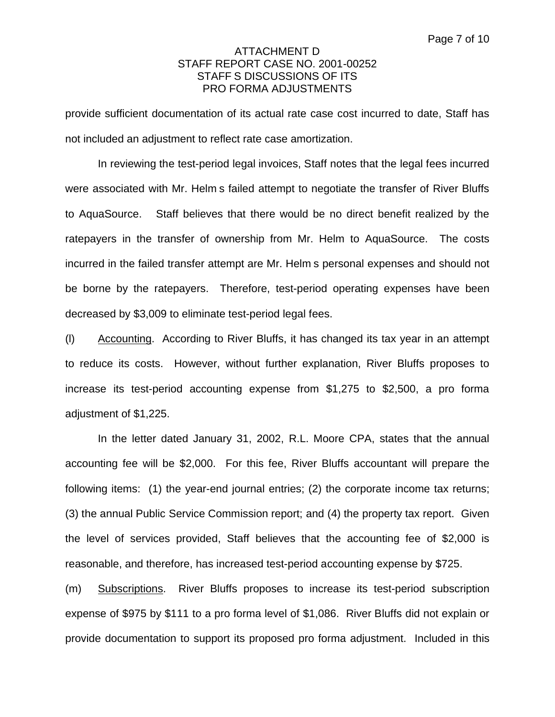provide sufficient documentation of its actual rate case cost incurred to date, Staff has not included an adjustment to reflect rate case amortization.

In reviewing the test-period legal invoices, Staff notes that the legal fees incurred were associated with Mr. Helm s failed attempt to negotiate the transfer of River Bluffs to AquaSource. Staff believes that there would be no direct benefit realized by the ratepayers in the transfer of ownership from Mr. Helm to AquaSource. The costs incurred in the failed transfer attempt are Mr. Helm s personal expenses and should not be borne by the ratepayers. Therefore, test-period operating expenses have been decreased by \$3,009 to eliminate test-period legal fees.

(l) Accounting. According to River Bluffs, it has changed its tax year in an attempt to reduce its costs. However, without further explanation, River Bluffs proposes to increase its test-period accounting expense from \$1,275 to \$2,500, a pro forma adjustment of \$1,225.

In the letter dated January 31, 2002, R.L. Moore CPA, states that the annual accounting fee will be \$2,000. For this fee, River Bluffs accountant will prepare the following items: (1) the year-end journal entries; (2) the corporate income tax returns; (3) the annual Public Service Commission report; and (4) the property tax report. Given the level of services provided, Staff believes that the accounting fee of \$2,000 is reasonable, and therefore, has increased test-period accounting expense by \$725.

(m) Subscriptions. River Bluffs proposes to increase its test-period subscription expense of \$975 by \$111 to a pro forma level of \$1,086. River Bluffs did not explain or provide documentation to support its proposed pro forma adjustment. Included in this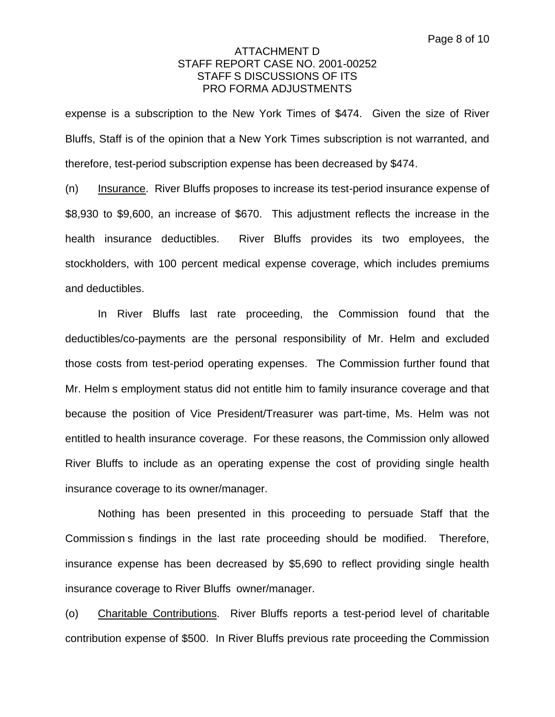expense is a subscription to the New York Times of \$474. Given the size of River Bluffs, Staff is of the opinion that a New York Times subscription is not warranted, and therefore, test-period subscription expense has been decreased by \$474.

(n) Insurance. River Bluffs proposes to increase its test-period insurance expense of \$8,930 to \$9,600, an increase of \$670. This adjustment reflects the increase in the health insurance deductibles. River Bluffs provides its two employees, the stockholders, with 100 percent medical expense coverage, which includes premiums and deductibles.

In River Bluffs last rate proceeding, the Commission found that the deductibles/co-payments are the personal responsibility of Mr. Helm and excluded those costs from test-period operating expenses. The Commission further found that Mr. Helm s employment status did not entitle him to family insurance coverage and that because the position of Vice President/Treasurer was part-time, Ms. Helm was not entitled to health insurance coverage. For these reasons, the Commission only allowed River Bluffs to include as an operating expense the cost of providing single health insurance coverage to its owner/manager.

Nothing has been presented in this proceeding to persuade Staff that the Commission s findings in the last rate proceeding should be modified. Therefore, insurance expense has been decreased by \$5,690 to reflect providing single health insurance coverage to River Bluffs owner/manager.

(o) Charitable Contributions. River Bluffs reports a test-period level of charitable contribution expense of \$500. In River Bluffs previous rate proceeding the Commission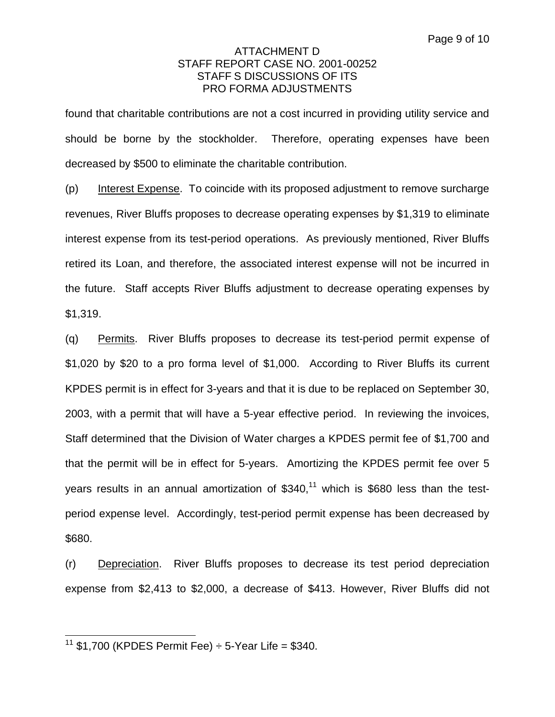found that charitable contributions are not a cost incurred in providing utility service and should be borne by the stockholder. Therefore, operating expenses have been decreased by \$500 to eliminate the charitable contribution.

(p) Interest Expense. To coincide with its proposed adjustment to remove surcharge revenues, River Bluffs proposes to decrease operating expenses by \$1,319 to eliminate interest expense from its test-period operations. As previously mentioned, River Bluffs retired its Loan, and therefore, the associated interest expense will not be incurred in the future. Staff accepts River Bluffs adjustment to decrease operating expenses by \$1,319.

(q) Permits. River Bluffs proposes to decrease its test-period permit expense of \$1,020 by \$20 to a pro forma level of \$1,000. According to River Bluffs its current KPDES permit is in effect for 3-years and that it is due to be replaced on September 30, 2003, with a permit that will have a 5-year effective period. In reviewing the invoices, Staff determined that the Division of Water charges a KPDES permit fee of \$1,700 and that the permit will be in effect for 5-years. Amortizing the KPDES permit fee over 5 years results in an annual amortization of  $$340<sup>11</sup>$  which is \$680 less than the testperiod expense level. Accordingly, test-period permit expense has been decreased by \$680.

(r) Depreciation. River Bluffs proposes to decrease its test period depreciation expense from \$2,413 to \$2,000, a decrease of \$413. However, River Bluffs did not

<sup>&</sup>lt;sup>11</sup> \$1.700 (KPDES Permit Fee)  $\div$  5-Year Life = \$340.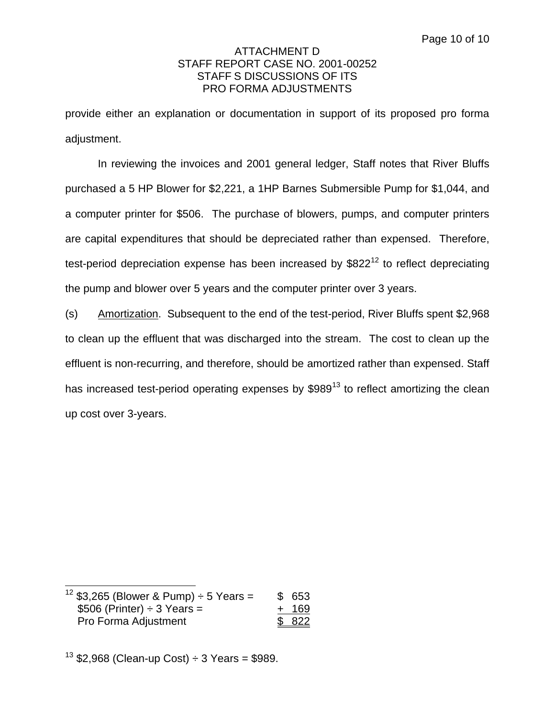provide either an explanation or documentation in support of its proposed pro forma adjustment.

In reviewing the invoices and 2001 general ledger, Staff notes that River Bluffs purchased a 5 HP Blower for \$2,221, a 1HP Barnes Submersible Pump for \$1,044, and a computer printer for \$506. The purchase of blowers, pumps, and computer printers are capital expenditures that should be depreciated rather than expensed. Therefore, test-period depreciation expense has been increased by  $$822^{12}$  to reflect depreciating the pump and blower over 5 years and the computer printer over 3 years.

(s) Amortization. Subsequent to the end of the test-period, River Bluffs spent \$2,968 to clean up the effluent that was discharged into the stream. The cost to clean up the effluent is non-recurring, and therefore, should be amortized rather than expensed. Staff has increased test-period operating expenses by \$989<sup>13</sup> to reflect amortizing the clean up cost over 3-years.

 $12$  \$3,265 (Blower & Pump)  $\div$  5 Years = \$ 653  $$506 (Printer) \div 3 \text{ Years} = + 169$ Pro Forma Adjustment  $$822$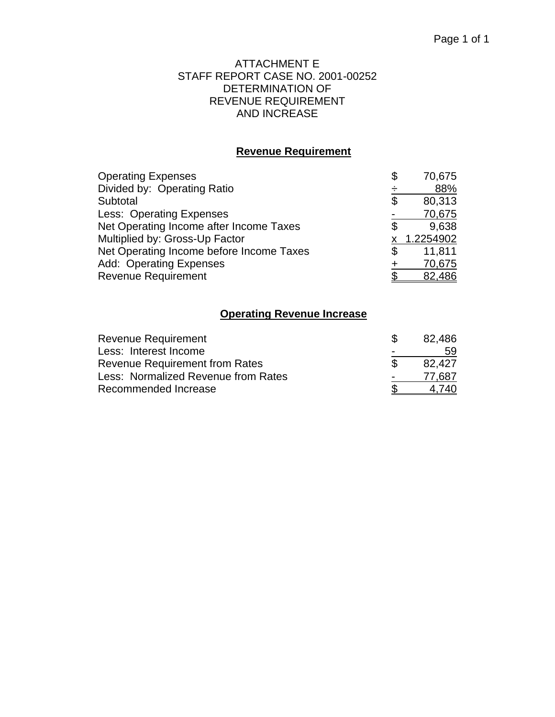## ATTACHMENT E STAFF REPORT CASE NO. 2001-00252 DETERMINATION OF REVENUE REQUIREMENT AND INCREASE

# **Revenue Requirement**

| <b>Operating Expenses</b>                | \$<br>70,675 |
|------------------------------------------|--------------|
| Divided by: Operating Ratio              | 88%          |
| Subtotal                                 | \$<br>80,313 |
| Less: Operating Expenses                 | 70,675       |
| Net Operating Income after Income Taxes  | \$<br>9,638  |
| Multiplied by: Gross-Up Factor           | x 1.2254902  |
| Net Operating Income before Income Taxes | 11,811       |
| Add: Operating Expenses                  | 70,675       |
| <b>Revenue Requirement</b>               | 82,486       |

## **Operating Revenue Increase**

| Revenue Requirement                   |                          | 82,486 |
|---------------------------------------|--------------------------|--------|
| Less: Interest Income                 | -                        | 59     |
| <b>Revenue Requirement from Rates</b> |                          | 82.427 |
| Less: Normalized Revenue from Rates   | $\overline{\phantom{0}}$ | 77.687 |
| Recommended Increase                  |                          | 740    |